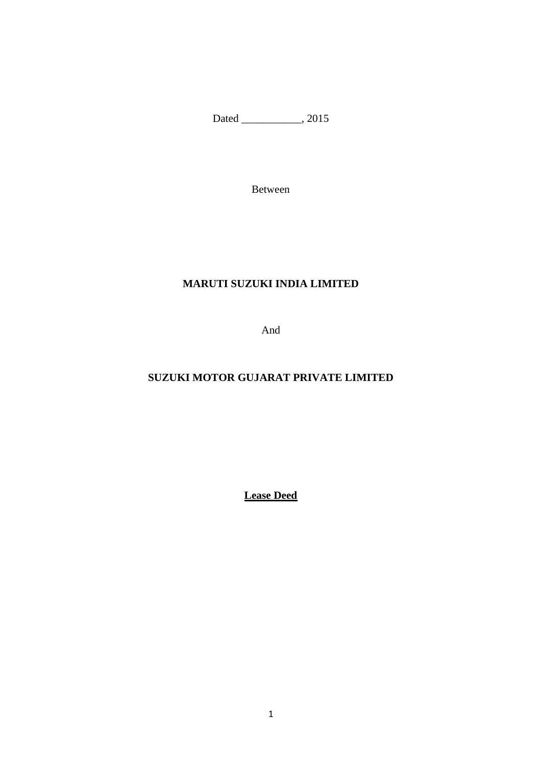Dated \_\_\_\_\_\_\_\_\_\_\_\_, 2015

Between

## **MARUTI SUZUKI INDIA LIMITED**

And

# **SUZUKI MOTOR GUJARAT PRIVATE LIMITED**

**Lease Deed**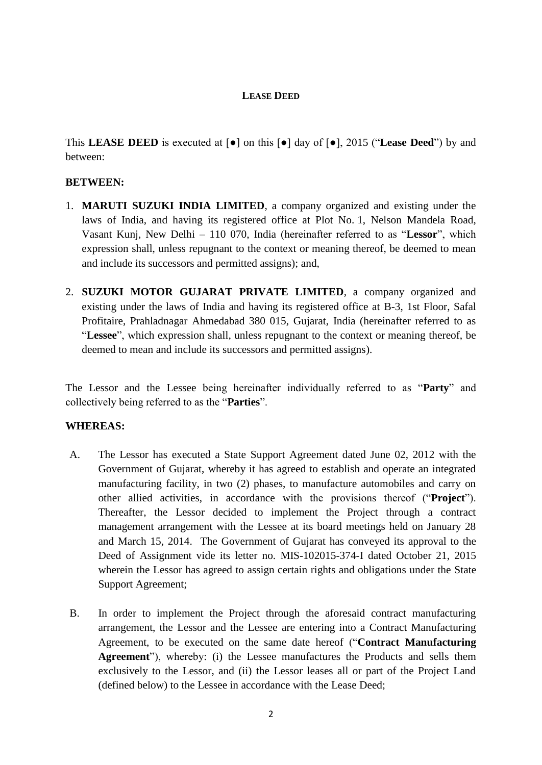## **LEASE DEED**

This **LEASE DEED** is executed at [●] on this [●] day of [●], 2015 ("**Lease Deed**") by and between:

### **BETWEEN:**

- 1. **MARUTI SUZUKI INDIA LIMITED**, a company organized and existing under the laws of India, and having its registered office at Plot No. 1, Nelson Mandela Road, Vasant Kunj, New Delhi – 110 070, India (hereinafter referred to as "**Lessor**", which expression shall, unless repugnant to the context or meaning thereof, be deemed to mean and include its successors and permitted assigns); and,
- 2. **SUZUKI MOTOR GUJARAT PRIVATE LIMITED**, a company organized and existing under the laws of India and having its registered office at B-3, 1st Floor, Safal Profitaire, Prahladnagar Ahmedabad 380 015, Gujarat, India (hereinafter referred to as "**Lessee**", which expression shall, unless repugnant to the context or meaning thereof, be deemed to mean and include its successors and permitted assigns).

The Lessor and the Lessee being hereinafter individually referred to as "**Party**" and collectively being referred to as the "**Parties**".

#### **WHEREAS:**

- <span id="page-1-1"></span>A. The Lessor has executed a State Support Agreement dated June 02, 2012 with the Government of Gujarat, whereby it has agreed to establish and operate an integrated manufacturing facility, in two (2) phases, to manufacture automobiles and carry on other allied activities, in accordance with the provisions thereof ("**Project**"). Thereafter, the Lessor decided to implement the Project through a contract management arrangement with the Lessee at its board meetings held on January 28 and March 15, 2014. The Government of Gujarat has conveyed its approval to the Deed of Assignment vide its letter no. MIS-102015-374-I dated October 21, 2015 wherein the Lessor has agreed to assign certain rights and obligations under the State Support Agreement;
- <span id="page-1-0"></span>B. In order to implement the Project through the aforesaid contract manufacturing arrangement, the Lessor and the Lessee are entering into a Contract Manufacturing Agreement, to be executed on the same date hereof ("**Contract Manufacturing Agreement**"), whereby: (i) the Lessee manufactures the Products and sells them exclusively to the Lessor, and (ii) the Lessor leases all or part of the Project Land (defined below) to the Lessee in accordance with the Lease Deed;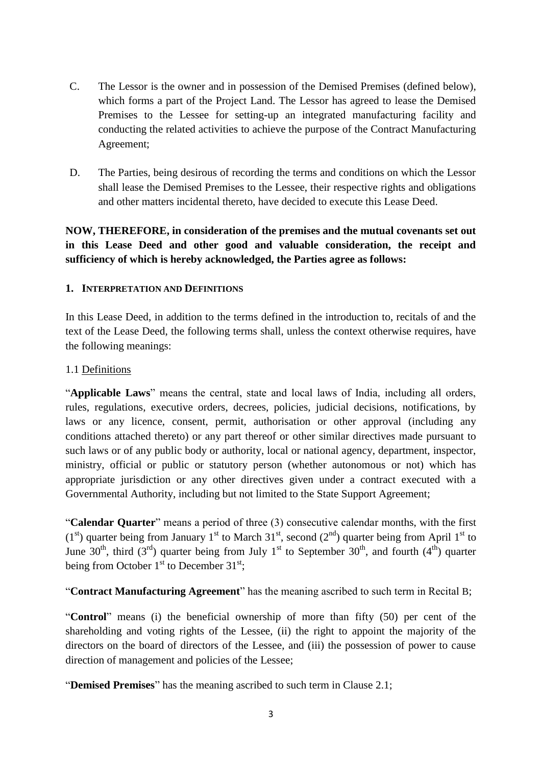- C. The Lessor is the owner and in possession of the Demised Premises (defined below), which forms a part of the Project Land. The Lessor has agreed to lease the Demised Premises to the Lessee for setting-up an integrated manufacturing facility and conducting the related activities to achieve the purpose of the Contract Manufacturing Agreement;
- D. The Parties, being desirous of recording the terms and conditions on which the Lessor shall lease the Demised Premises to the Lessee, their respective rights and obligations and other matters incidental thereto, have decided to execute this Lease Deed.

**NOW, THEREFORE, in consideration of the premises and the mutual covenants set out in this Lease Deed and other good and valuable consideration, the receipt and sufficiency of which is hereby acknowledged, the Parties agree as follows:**

## **1. INTERPRETATION AND DEFINITIONS**

In this Lease Deed, in addition to the terms defined in the introduction to, recitals of and the text of the Lease Deed, the following terms shall, unless the context otherwise requires, have the following meanings:

### 1.1 Definitions

"**Applicable Laws**" means the central, state and local laws of India, including all orders, rules, regulations, executive orders, decrees, policies, judicial decisions, notifications, by laws or any licence, consent, permit, authorisation or other approval (including any conditions attached thereto) or any part thereof or other similar directives made pursuant to such laws or of any public body or authority, local or national agency, department, inspector, ministry, official or public or statutory person (whether autonomous or not) which has appropriate jurisdiction or any other directives given under a contract executed with a Governmental Authority, including but not limited to the State Support Agreement;

"**Calendar Quarter**" means a period of three (3) consecutive calendar months, with the first  $(1<sup>st</sup>)$  quarter being from January 1<sup>st</sup> to March 31<sup>st</sup>, second  $(2<sup>nd</sup>)$  quarter being from April 1<sup>st</sup> to June 30<sup>th</sup>, third (3<sup>rd</sup>) quarter being from July 1<sup>st</sup> to September 30<sup>th</sup>, and fourth (4<sup>th</sup>) quarter being from October  $1<sup>st</sup>$  to December 31 $<sup>st</sup>$ ;</sup>

"**Contract Manufacturing Agreement**" has the meaning ascribed to such term in Recital [B](#page-1-0);

"**Control**" means (i) the beneficial ownership of more than fifty (50) per cent of the shareholding and voting rights of the Lessee, (ii) the right to appoint the majority of the directors on the board of directors of the Lessee, and (iii) the possession of power to cause direction of management and policies of the Lessee;

"**Demised Premises**" has the meaning ascribed to such term in Clause 2.1;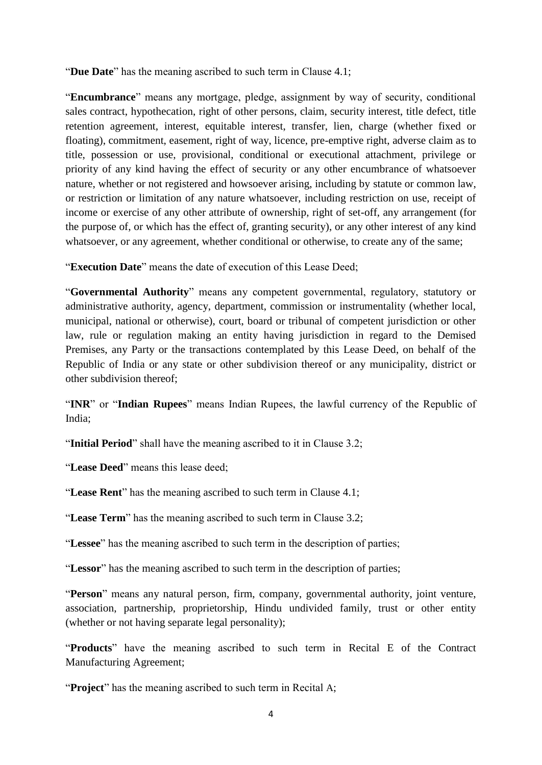"**Due Date**" has the meaning ascribed to such term in Clause 4.1;

"**Encumbrance**" means any mortgage, pledge, assignment by way of security, conditional sales contract, hypothecation, right of other persons, claim, security interest, title defect, title retention agreement, interest, equitable interest, transfer, lien, charge (whether fixed or floating), commitment, easement, right of way, licence, pre-emptive right, adverse claim as to title, possession or use, provisional, conditional or executional attachment, privilege or priority of any kind having the effect of security or any other encumbrance of whatsoever nature, whether or not registered and howsoever arising, including by statute or common law, or restriction or limitation of any nature whatsoever, including restriction on use, receipt of income or exercise of any other attribute of ownership, right of set-off, any arrangement (for the purpose of, or which has the effect of, granting security), or any other interest of any kind whatsoever, or any agreement, whether conditional or otherwise, to create any of the same;

"**Execution Date**" means the date of execution of this Lease Deed;

"**Governmental Authority**" means any competent governmental, regulatory, statutory or administrative authority, agency, department, commission or instrumentality (whether local, municipal, national or otherwise), court, board or tribunal of competent jurisdiction or other law, rule or regulation making an entity having jurisdiction in regard to the Demised Premises, any Party or the transactions contemplated by this Lease Deed, on behalf of the Republic of India or any state or other subdivision thereof or any municipality, district or other subdivision thereof;

"**INR**" or "**Indian Rupees**" means Indian Rupees, the lawful currency of the Republic of India;

"**Initial Period**" shall have the meaning ascribed to it in Clause 3.2;

"**Lease Deed**" means this lease deed;

"**Lease Rent**" has the meaning ascribed to such term in Clause 4.1;

"**Lease Term**" has the meaning ascribed to such term in Clause [3.2;](#page-7-0)

"**Lessee**" has the meaning ascribed to such term in the description of parties;

"**Lessor**" has the meaning ascribed to such term in the description of parties;

"**Person**" means any natural person, firm, company, governmental authority, joint venture, association, partnership, proprietorship, Hindu undivided family, trust or other entity (whether or not having separate legal personality);

"**Products**" have the meaning ascribed to such term in Recital E of the Contract Manufacturing Agreement;

"**Project**" has the meaning ascribed to such term in Recital [A](#page-1-1);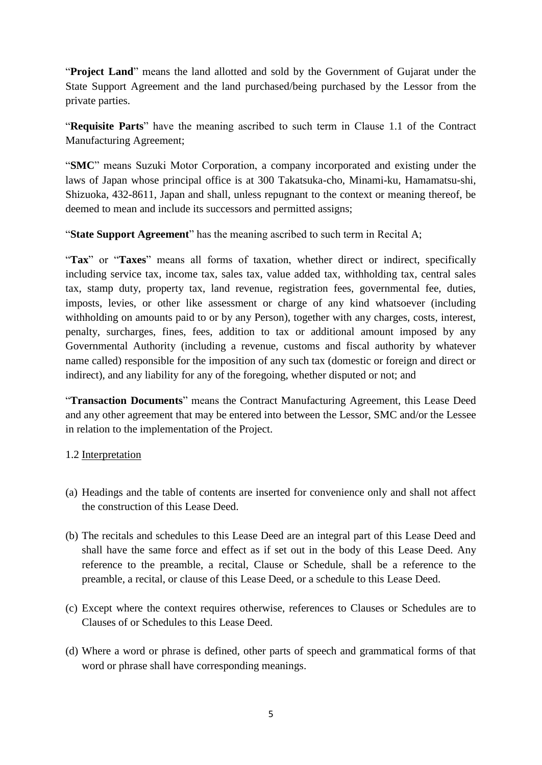"**Project Land**" means the land allotted and sold by the Government of Gujarat under the State Support Agreement and the land purchased/being purchased by the Lessor from the private parties.

"**Requisite Parts**" have the meaning ascribed to such term in Clause 1.1 of the Contract Manufacturing Agreement;

"**SMC**" means Suzuki Motor Corporation, a company incorporated and existing under the laws of Japan whose principal office is at 300 Takatsuka-cho, Minami-ku, Hamamatsu-shi, Shizuoka, 432-8611, Japan and shall, unless repugnant to the context or meaning thereof, be deemed to mean and include its successors and permitted assigns;

"**State Support Agreement**" has the meaning ascribed to such term in Recital A;

"Tax" or "Taxes" means all forms of taxation, whether direct or indirect, specifically including service tax, income tax, sales tax, value added tax, withholding tax, central sales tax, stamp duty, property tax, land revenue, registration fees, governmental fee, duties, imposts, levies, or other like assessment or charge of any kind whatsoever (including withholding on amounts paid to or by any Person), together with any charges, costs, interest, penalty, surcharges, fines, fees, addition to tax or additional amount imposed by any Governmental Authority (including a revenue, customs and fiscal authority by whatever name called) responsible for the imposition of any such tax (domestic or foreign and direct or indirect), and any liability for any of the foregoing, whether disputed or not; and

"**Transaction Documents**" means the Contract Manufacturing Agreement, this Lease Deed and any other agreement that may be entered into between the Lessor, SMC and/or the Lessee in relation to the implementation of the Project.

## 1.2 Interpretation

- (a) Headings and the table of contents are inserted for convenience only and shall not affect the construction of this Lease Deed.
- (b) The recitals and schedules to this Lease Deed are an integral part of this Lease Deed and shall have the same force and effect as if set out in the body of this Lease Deed. Any reference to the preamble, a recital, Clause or Schedule, shall be a reference to the preamble, a recital, or clause of this Lease Deed, or a schedule to this Lease Deed.
- (c) Except where the context requires otherwise, references to Clauses or Schedules are to Clauses of or Schedules to this Lease Deed.
- (d) Where a word or phrase is defined, other parts of speech and grammatical forms of that word or phrase shall have corresponding meanings.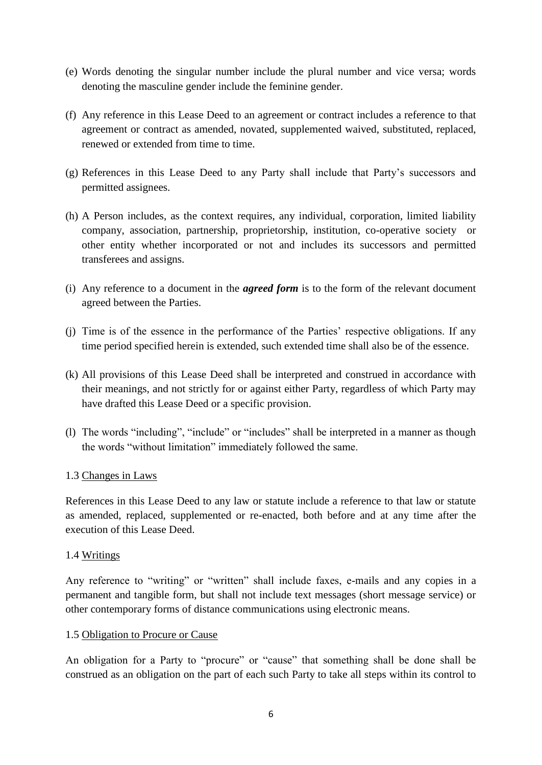- (e) Words denoting the singular number include the plural number and vice versa; words denoting the masculine gender include the feminine gender.
- (f) Any reference in this Lease Deed to an agreement or contract includes a reference to that agreement or contract as amended, novated, supplemented waived, substituted, replaced, renewed or extended from time to time.
- (g) References in this Lease Deed to any Party shall include that Party's successors and permitted assignees.
- (h) A Person includes, as the context requires, any individual, corporation, limited liability company, association, partnership, proprietorship, institution, co-operative society or other entity whether incorporated or not and includes its successors and permitted transferees and assigns.
- (i) Any reference to a document in the *agreed form* is to the form of the relevant document agreed between the Parties.
- (j) Time is of the essence in the performance of the Parties' respective obligations. If any time period specified herein is extended, such extended time shall also be of the essence.
- (k) All provisions of this Lease Deed shall be interpreted and construed in accordance with their meanings, and not strictly for or against either Party, regardless of which Party may have drafted this Lease Deed or a specific provision.
- (l) The words "including", "include" or "includes" shall be interpreted in a manner as though the words "without limitation" immediately followed the same.

## 1.3 Changes in Laws

References in this Lease Deed to any law or statute include a reference to that law or statute as amended, replaced, supplemented or re-enacted, both before and at any time after the execution of this Lease Deed.

#### 1.4 Writings

Any reference to "writing" or "written" shall include faxes, e-mails and any copies in a permanent and tangible form, but shall not include text messages (short message service) or other contemporary forms of distance communications using electronic means.

#### 1.5 Obligation to Procure or Cause

An obligation for a Party to "procure" or "cause" that something shall be done shall be construed as an obligation on the part of each such Party to take all steps within its control to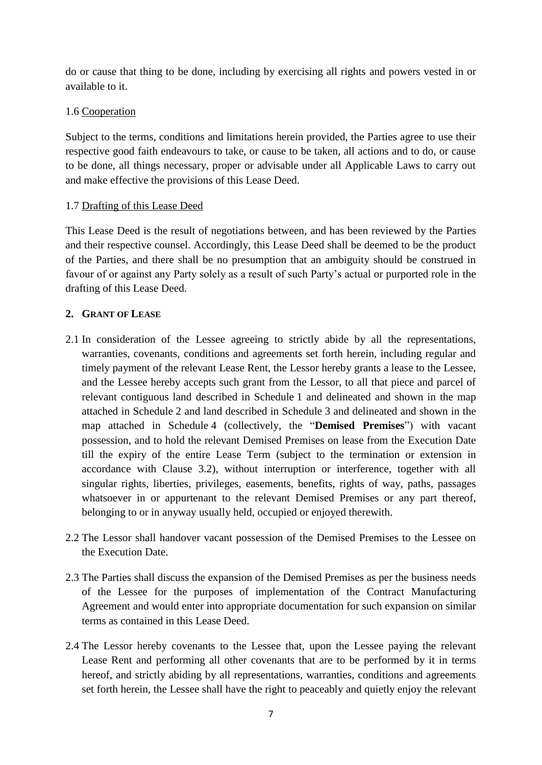do or cause that thing to be done, including by exercising all rights and powers vested in or available to it.

## 1.6 Cooperation

Subject to the terms, conditions and limitations herein provided, the Parties agree to use their respective good faith endeavours to take, or cause to be taken, all actions and to do, or cause to be done, all things necessary, proper or advisable under all Applicable Laws to carry out and make effective the provisions of this Lease Deed.

## 1.7 Drafting of this Lease Deed

This Lease Deed is the result of negotiations between, and has been reviewed by the Parties and their respective counsel. Accordingly, this Lease Deed shall be deemed to be the product of the Parties, and there shall be no presumption that an ambiguity should be construed in favour of or against any Party solely as a result of such Party's actual or purported role in the drafting of this Lease Deed.

## **2. GRANT OF LEASE**

- 2.1 In consideration of the Lessee agreeing to strictly abide by all the representations, warranties, covenants, conditions and agreements set forth herein, including regular and timely payment of the relevant Lease Rent, the Lessor hereby grants a lease to the Lessee, and the Lessee hereby accepts such grant from the Lessor, to all that piece and parcel of relevant contiguous land described in Schedule 1 and delineated and shown in the map attached in Schedule 2 and land described in Schedule 3 and delineated and shown in the map attached in Schedule 4 (collectively, the "**Demised Premises**") with vacant possession, and to hold the relevant Demised Premises on lease from the Execution Date till the expiry of the entire Lease Term (subject to the termination or extension in accordance with Clause 3.2), without interruption or interference, together with all singular rights, liberties, privileges, easements, benefits, rights of way, paths, passages whatsoever in or appurtenant to the relevant Demised Premises or any part thereof, belonging to or in anyway usually held, occupied or enjoyed therewith.
- 2.2 The Lessor shall handover vacant possession of the Demised Premises to the Lessee on the Execution Date.
- 2.3 The Parties shall discuss the expansion of the Demised Premises as per the business needs of the Lessee for the purposes of implementation of the Contract Manufacturing Agreement and would enter into appropriate documentation for such expansion on similar terms as contained in this Lease Deed.
- 2.4 The Lessor hereby covenants to the Lessee that, upon the Lessee paying the relevant Lease Rent and performing all other covenants that are to be performed by it in terms hereof, and strictly abiding by all representations, warranties, conditions and agreements set forth herein, the Lessee shall have the right to peaceably and quietly enjoy the relevant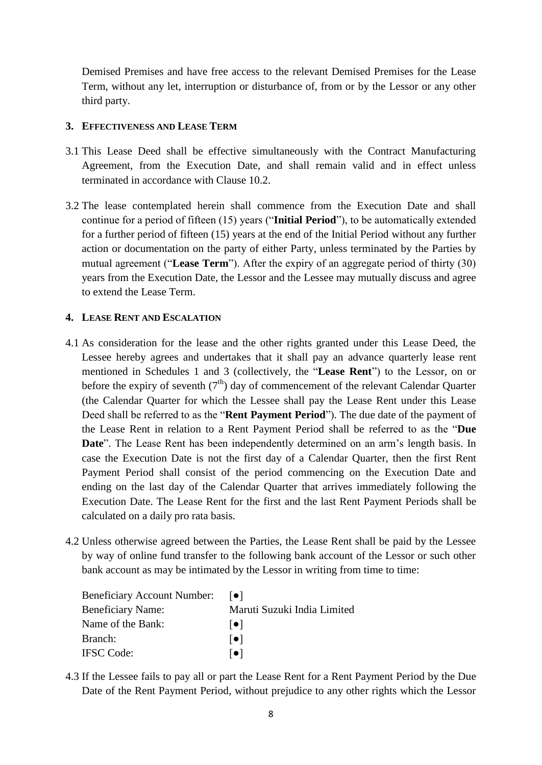Demised Premises and have free access to the relevant Demised Premises for the Lease Term, without any let, interruption or disturbance of, from or by the Lessor or any other third party.

## **3. EFFECTIVENESS AND LEASE TERM**

- 3.1 This Lease Deed shall be effective simultaneously with the Contract Manufacturing Agreement, from the Execution Date, and shall remain valid and in effect unless terminated in accordance with Clause [10.2.](#page-13-0)
- <span id="page-7-0"></span>3.2 The lease contemplated herein shall commence from the Execution Date and shall continue for a period of fifteen (15) years ("**Initial Period**"), to be automatically extended for a further period of fifteen (15) years at the end of the Initial Period without any further action or documentation on the party of either Party, unless terminated by the Parties by mutual agreement ("**Lease Term**"). After the expiry of an aggregate period of thirty (30) years from the Execution Date, the Lessor and the Lessee may mutually discuss and agree to extend the Lease Term.

### **4. LEASE RENT AND ESCALATION**

- 4.1 As consideration for the lease and the other rights granted under this Lease Deed, the Lessee hereby agrees and undertakes that it shall pay an advance quarterly lease rent mentioned in Schedules 1 and 3 (collectively, the "**Lease Rent**") to the Lessor, on or before the expiry of seventh  $(7<sup>th</sup>)$  day of commencement of the relevant Calendar Quarter (the Calendar Quarter for which the Lessee shall pay the Lease Rent under this Lease Deed shall be referred to as the "**Rent Payment Period**"). The due date of the payment of the Lease Rent in relation to a Rent Payment Period shall be referred to as the "**Due Date**". The Lease Rent has been independently determined on an arm's length basis. In case the Execution Date is not the first day of a Calendar Quarter, then the first Rent Payment Period shall consist of the period commencing on the Execution Date and ending on the last day of the Calendar Quarter that arrives immediately following the Execution Date. The Lease Rent for the first and the last Rent Payment Periods shall be calculated on a daily pro rata basis.
- 4.2 Unless otherwise agreed between the Parties, the Lease Rent shall be paid by the Lessee by way of online fund transfer to the following bank account of the Lessor or such other bank account as may be intimated by the Lessor in writing from time to time:

| <b>Beneficiary Account Number:</b> | $  \bullet  $               |
|------------------------------------|-----------------------------|
| <b>Beneficiary Name:</b>           | Maruti Suzuki India Limited |
| Name of the Bank:                  | $  \bullet  $               |
| Branch:                            | $  \bullet  $               |
| <b>IFSC</b> Code:                  | ●                           |

4.3 If the Lessee fails to pay all or part the Lease Rent for a Rent Payment Period by the Due Date of the Rent Payment Period, without prejudice to any other rights which the Lessor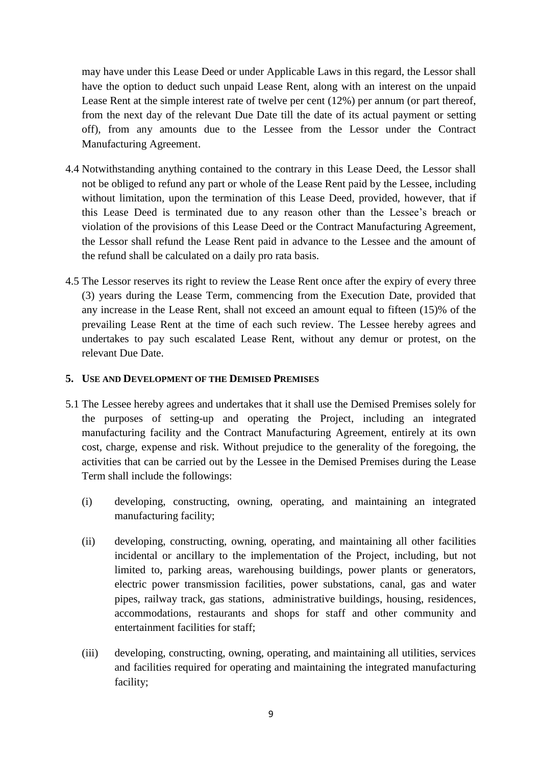may have under this Lease Deed or under Applicable Laws in this regard, the Lessor shall have the option to deduct such unpaid Lease Rent, along with an interest on the unpaid Lease Rent at the simple interest rate of twelve per cent (12%) per annum (or part thereof, from the next day of the relevant Due Date till the date of its actual payment or setting off), from any amounts due to the Lessee from the Lessor under the Contract Manufacturing Agreement.

- 4.4 Notwithstanding anything contained to the contrary in this Lease Deed, the Lessor shall not be obliged to refund any part or whole of the Lease Rent paid by the Lessee, including without limitation, upon the termination of this Lease Deed, provided, however, that if this Lease Deed is terminated due to any reason other than the Lessee's breach or violation of the provisions of this Lease Deed or the Contract Manufacturing Agreement, the Lessor shall refund the Lease Rent paid in advance to the Lessee and the amount of the refund shall be calculated on a daily pro rata basis.
- 4.5 The Lessor reserves its right to review the Lease Rent once after the expiry of every three (3) years during the Lease Term, commencing from the Execution Date, provided that any increase in the Lease Rent, shall not exceed an amount equal to fifteen (15)% of the prevailing Lease Rent at the time of each such review. The Lessee hereby agrees and undertakes to pay such escalated Lease Rent, without any demur or protest, on the relevant Due Date.

## **5. USE AND DEVELOPMENT OF THE DEMISED PREMISES**

- <span id="page-8-0"></span>5.1 The Lessee hereby agrees and undertakes that it shall use the Demised Premises solely for the purposes of setting-up and operating the Project, including an integrated manufacturing facility and the Contract Manufacturing Agreement, entirely at its own cost, charge, expense and risk. Without prejudice to the generality of the foregoing, the activities that can be carried out by the Lessee in the Demised Premises during the Lease Term shall include the followings:
	- (i) developing, constructing, owning, operating, and maintaining an integrated manufacturing facility;
	- (ii) developing, constructing, owning, operating, and maintaining all other facilities incidental or ancillary to the implementation of the Project, including, but not limited to, parking areas, warehousing buildings, power plants or generators, electric power transmission facilities, power substations, canal, gas and water pipes, railway track, gas stations, administrative buildings, housing, residences, accommodations, restaurants and shops for staff and other community and entertainment facilities for staff;
	- (iii) developing, constructing, owning, operating, and maintaining all utilities, services and facilities required for operating and maintaining the integrated manufacturing facility;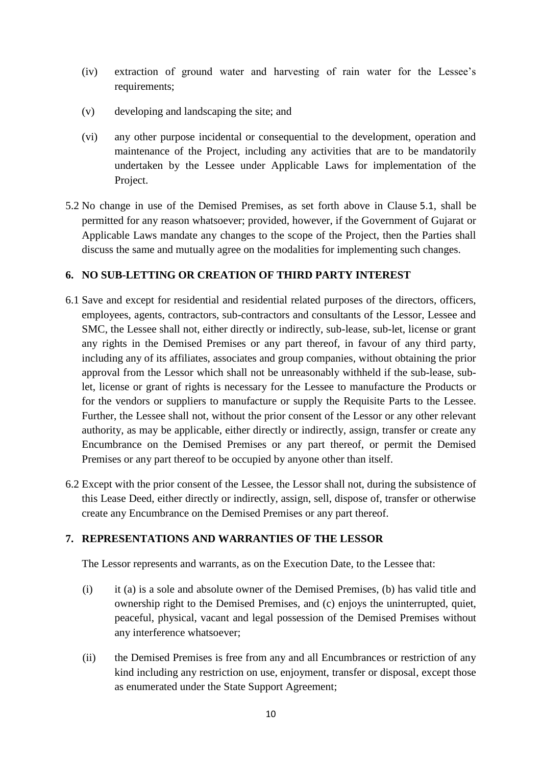- (iv) extraction of ground water and harvesting of rain water for the Lessee's requirements;
- (v) developing and landscaping the site; and
- (vi) any other purpose incidental or consequential to the development, operation and maintenance of the Project, including any activities that are to be mandatorily undertaken by the Lessee under Applicable Laws for implementation of the Project.
- 5.2 No change in use of the Demised Premises, as set forth above in Clause [5.1](#page-8-0), shall be permitted for any reason whatsoever; provided, however, if the Government of Gujarat or Applicable Laws mandate any changes to the scope of the Project, then the Parties shall discuss the same and mutually agree on the modalities for implementing such changes.

### **6. NO SUB-LETTING OR CREATION OF THIRD PARTY INTEREST**

- 6.1 Save and except for residential and residential related purposes of the directors, officers, employees, agents, contractors, sub-contractors and consultants of the Lessor, Lessee and SMC, the Lessee shall not, either directly or indirectly, sub-lease, sub-let, license or grant any rights in the Demised Premises or any part thereof, in favour of any third party, including any of its affiliates, associates and group companies, without obtaining the prior approval from the Lessor which shall not be unreasonably withheld if the sub-lease, sublet, license or grant of rights is necessary for the Lessee to manufacture the Products or for the vendors or suppliers to manufacture or supply the Requisite Parts to the Lessee. Further, the Lessee shall not, without the prior consent of the Lessor or any other relevant authority, as may be applicable, either directly or indirectly, assign, transfer or create any Encumbrance on the Demised Premises or any part thereof, or permit the Demised Premises or any part thereof to be occupied by anyone other than itself.
- 6.2 Except with the prior consent of the Lessee, the Lessor shall not, during the subsistence of this Lease Deed, either directly or indirectly, assign, sell, dispose of, transfer or otherwise create any Encumbrance on the Demised Premises or any part thereof.

## **7. REPRESENTATIONS AND WARRANTIES OF THE LESSOR**

The Lessor represents and warrants, as on the Execution Date, to the Lessee that:

- (i) it (a) is a sole and absolute owner of the Demised Premises, (b) has valid title and ownership right to the Demised Premises, and (c) enjoys the uninterrupted, quiet, peaceful, physical, vacant and legal possession of the Demised Premises without any interference whatsoever;
- (ii) the Demised Premises is free from any and all Encumbrances or restriction of any kind including any restriction on use, enjoyment, transfer or disposal, except those as enumerated under the State Support Agreement;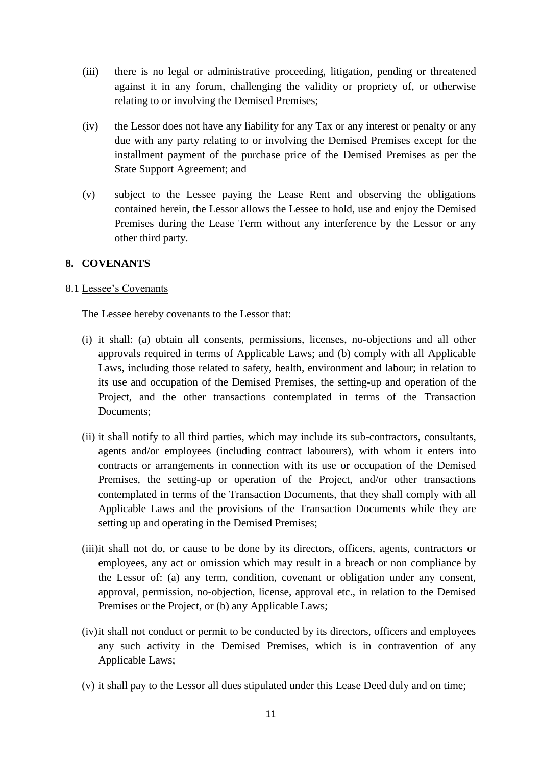- (iii) there is no legal or administrative proceeding, litigation, pending or threatened against it in any forum, challenging the validity or propriety of, or otherwise relating to or involving the Demised Premises;
- (iv) the Lessor does not have any liability for any Tax or any interest or penalty or any due with any party relating to or involving the Demised Premises except for the installment payment of the purchase price of the Demised Premises as per the State Support Agreement; and
- (v) subject to the Lessee paying the Lease Rent and observing the obligations contained herein, the Lessor allows the Lessee to hold, use and enjoy the Demised Premises during the Lease Term without any interference by the Lessor or any other third party.

#### **8. COVENANTS**

#### 8.1 Lessee's Covenants

The Lessee hereby covenants to the Lessor that:

- (i) it shall: (a) obtain all consents, permissions, licenses, no-objections and all other approvals required in terms of Applicable Laws; and (b) comply with all Applicable Laws, including those related to safety, health, environment and labour; in relation to its use and occupation of the Demised Premises, the setting-up and operation of the Project, and the other transactions contemplated in terms of the Transaction Documents;
- (ii) it shall notify to all third parties, which may include its sub-contractors, consultants, agents and/or employees (including contract labourers), with whom it enters into contracts or arrangements in connection with its use or occupation of the Demised Premises, the setting-up or operation of the Project, and/or other transactions contemplated in terms of the Transaction Documents, that they shall comply with all Applicable Laws and the provisions of the Transaction Documents while they are setting up and operating in the Demised Premises;
- (iii)it shall not do, or cause to be done by its directors, officers, agents, contractors or employees, any act or omission which may result in a breach or non compliance by the Lessor of: (a) any term, condition, covenant or obligation under any consent, approval, permission, no-objection, license, approval etc., in relation to the Demised Premises or the Project, or (b) any Applicable Laws;
- (iv)it shall not conduct or permit to be conducted by its directors, officers and employees any such activity in the Demised Premises, which is in contravention of any Applicable Laws;
- (v) it shall pay to the Lessor all dues stipulated under this Lease Deed duly and on time;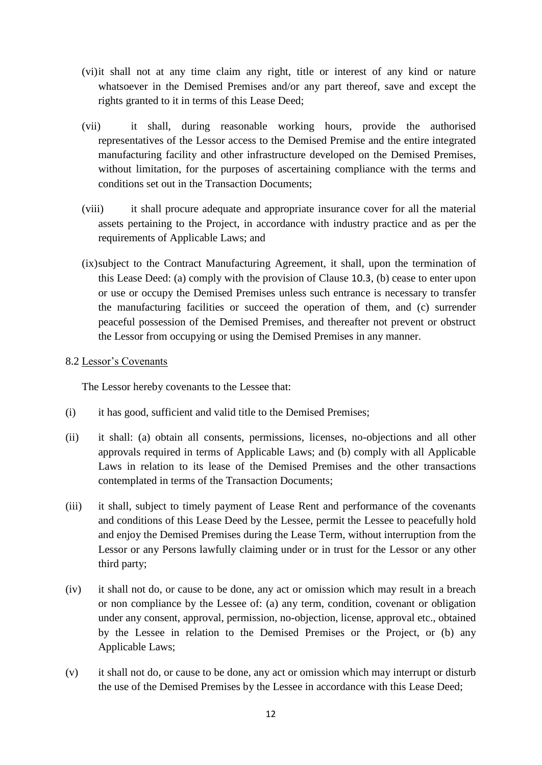- (vi)it shall not at any time claim any right, title or interest of any kind or nature whatsoever in the Demised Premises and/or any part thereof, save and except the rights granted to it in terms of this Lease Deed;
- (vii) it shall, during reasonable working hours, provide the authorised representatives of the Lessor access to the Demised Premise and the entire integrated manufacturing facility and other infrastructure developed on the Demised Premises, without limitation, for the purposes of ascertaining compliance with the terms and conditions set out in the Transaction Documents;
- (viii) it shall procure adequate and appropriate insurance cover for all the material assets pertaining to the Project, in accordance with industry practice and as per the requirements of Applicable Laws; and
- (ix)subject to the Contract Manufacturing Agreement, it shall, upon the termination of this Lease Deed: (a) comply with the provision of Clause [10.3](#page-13-1), (b) cease to enter upon or use or occupy the Demised Premises unless such entrance is necessary to transfer the manufacturing facilities or succeed the operation of them, and (c) surrender peaceful possession of the Demised Premises, and thereafter not prevent or obstruct the Lessor from occupying or using the Demised Premises in any manner.

#### 8.2 Lessor's Covenants

The Lessor hereby covenants to the Lessee that:

- (i) it has good, sufficient and valid title to the Demised Premises;
- (ii) it shall: (a) obtain all consents, permissions, licenses, no-objections and all other approvals required in terms of Applicable Laws; and (b) comply with all Applicable Laws in relation to its lease of the Demised Premises and the other transactions contemplated in terms of the Transaction Documents;
- (iii) it shall, subject to timely payment of Lease Rent and performance of the covenants and conditions of this Lease Deed by the Lessee, permit the Lessee to peacefully hold and enjoy the Demised Premises during the Lease Term, without interruption from the Lessor or any Persons lawfully claiming under or in trust for the Lessor or any other third party;
- (iv) it shall not do, or cause to be done, any act or omission which may result in a breach or non compliance by the Lessee of: (a) any term, condition, covenant or obligation under any consent, approval, permission, no-objection, license, approval etc., obtained by the Lessee in relation to the Demised Premises or the Project, or (b) any Applicable Laws;
- (v) it shall not do, or cause to be done, any act or omission which may interrupt or disturb the use of the Demised Premises by the Lessee in accordance with this Lease Deed;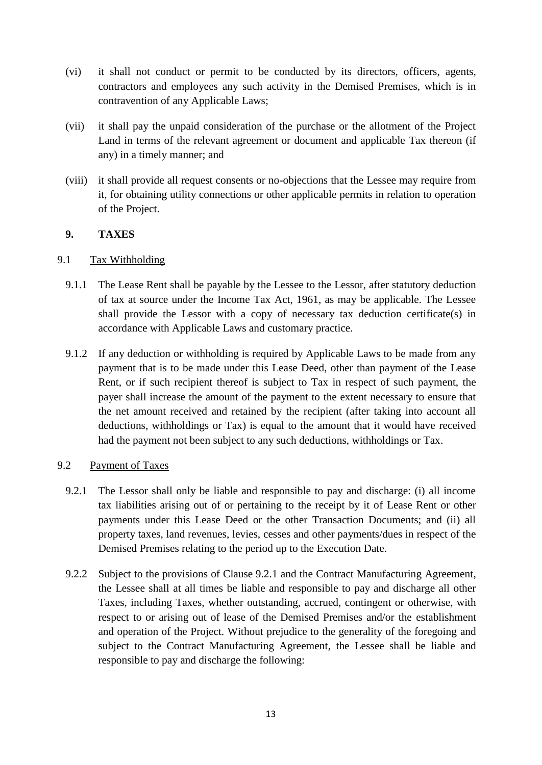- (vi) it shall not conduct or permit to be conducted by its directors, officers, agents, contractors and employees any such activity in the Demised Premises, which is in contravention of any Applicable Laws;
- (vii) it shall pay the unpaid consideration of the purchase or the allotment of the Project Land in terms of the relevant agreement or document and applicable Tax thereon (if any) in a timely manner; and
- (viii) it shall provide all request consents or no-objections that the Lessee may require from it, for obtaining utility connections or other applicable permits in relation to operation of the Project.

## **9. TAXES**

## 9.1 Tax Withholding

- 9.1.1 The Lease Rent shall be payable by the Lessee to the Lessor, after statutory deduction of tax at source under the Income Tax Act, 1961, as may be applicable. The Lessee shall provide the Lessor with a copy of necessary tax deduction certificate(s) in accordance with Applicable Laws and customary practice.
- 9.1.2 If any deduction or withholding is required by Applicable Laws to be made from any payment that is to be made under this Lease Deed, other than payment of the Lease Rent, or if such recipient thereof is subject to Tax in respect of such payment, the payer shall increase the amount of the payment to the extent necessary to ensure that the net amount received and retained by the recipient (after taking into account all deductions, withholdings or Tax) is equal to the amount that it would have received had the payment not been subject to any such deductions, withholdings or Tax.

## 9.2 Payment of Taxes

- <span id="page-12-0"></span>9.2.1 The Lessor shall only be liable and responsible to pay and discharge: (i) all income tax liabilities arising out of or pertaining to the receipt by it of Lease Rent or other payments under this Lease Deed or the other Transaction Documents; and (ii) all property taxes, land revenues, levies, cesses and other payments/dues in respect of the Demised Premises relating to the period up to the Execution Date.
- 9.2.2 Subject to the provisions of Clause [9.2.1](#page-12-0) and the Contract Manufacturing Agreement, the Lessee shall at all times be liable and responsible to pay and discharge all other Taxes, including Taxes, whether outstanding, accrued, contingent or otherwise, with respect to or arising out of lease of the Demised Premises and/or the establishment and operation of the Project. Without prejudice to the generality of the foregoing and subject to the Contract Manufacturing Agreement, the Lessee shall be liable and responsible to pay and discharge the following: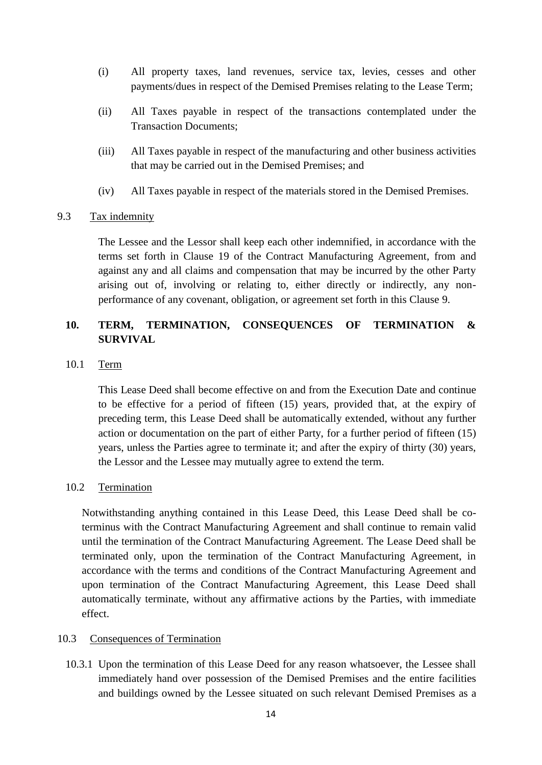- (i) All property taxes, land revenues, service tax, levies, cesses and other payments/dues in respect of the Demised Premises relating to the Lease Term;
- (ii) All Taxes payable in respect of the transactions contemplated under the Transaction Documents;
- (iii) All Taxes payable in respect of the manufacturing and other business activities that may be carried out in the Demised Premises; and
- (iv) All Taxes payable in respect of the materials stored in the Demised Premises.

### 9.3 Tax indemnity

The Lessee and the Lessor shall keep each other indemnified, in accordance with the terms set forth in Clause 19 of the Contract Manufacturing Agreement, from and against any and all claims and compensation that may be incurred by the other Party arising out of, involving or relating to, either directly or indirectly, any nonperformance of any covenant, obligation, or agreement set forth in this Clause 9.

# **10. TERM, TERMINATION, CONSEQUENCES OF TERMINATION & SURVIVAL**

10.1 Term

This Lease Deed shall become effective on and from the Execution Date and continue to be effective for a period of fifteen (15) years, provided that, at the expiry of preceding term, this Lease Deed shall be automatically extended, without any further action or documentation on the part of either Party, for a further period of fifteen (15) years, unless the Parties agree to terminate it; and after the expiry of thirty (30) years, the Lessor and the Lessee may mutually agree to extend the term.

#### <span id="page-13-0"></span>10.2 Termination

Notwithstanding anything contained in this Lease Deed, this Lease Deed shall be coterminus with the Contract Manufacturing Agreement and shall continue to remain valid until the termination of the Contract Manufacturing Agreement. The Lease Deed shall be terminated only, upon the termination of the Contract Manufacturing Agreement, in accordance with the terms and conditions of the Contract Manufacturing Agreement and upon termination of the Contract Manufacturing Agreement, this Lease Deed shall automatically terminate, without any affirmative actions by the Parties, with immediate effect.

#### <span id="page-13-1"></span>10.3 Consequences of Termination

10.3.1 Upon the termination of this Lease Deed for any reason whatsoever, the Lessee shall immediately hand over possession of the Demised Premises and the entire facilities and buildings owned by the Lessee situated on such relevant Demised Premises as a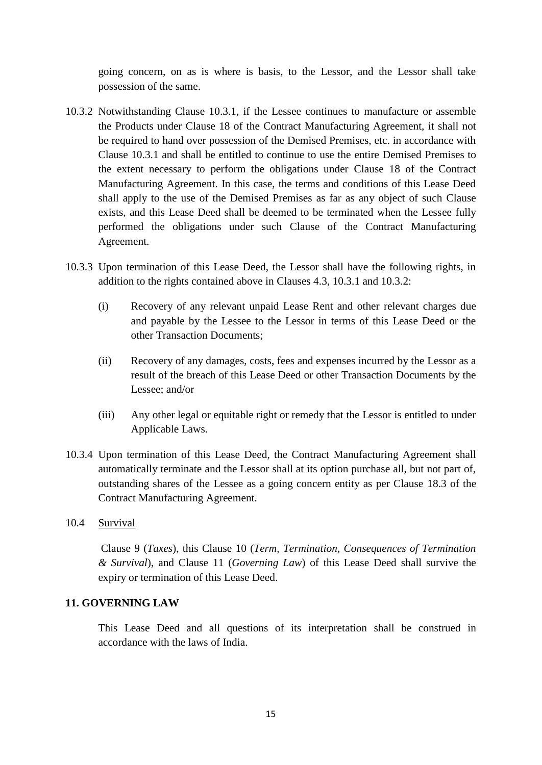going concern, on as is where is basis, to the Lessor, and the Lessor shall take possession of the same.

- 10.3.2 Notwithstanding Clause 10.3.1, if the Lessee continues to manufacture or assemble the Products under Clause 18 of the Contract Manufacturing Agreement, it shall not be required to hand over possession of the Demised Premises, etc. in accordance with Clause 10.3.1 and shall be entitled to continue to use the entire Demised Premises to the extent necessary to perform the obligations under Clause 18 of the Contract Manufacturing Agreement. In this case, the terms and conditions of this Lease Deed shall apply to the use of the Demised Premises as far as any object of such Clause exists, and this Lease Deed shall be deemed to be terminated when the Lessee fully performed the obligations under such Clause of the Contract Manufacturing Agreement.
- 10.3.3 Upon termination of this Lease Deed, the Lessor shall have the following rights, in addition to the rights contained above in Clauses 4.3, 10.3.1 and 10.3.2:
	- (i) Recovery of any relevant unpaid Lease Rent and other relevant charges due and payable by the Lessee to the Lessor in terms of this Lease Deed or the other Transaction Documents;
	- (ii) Recovery of any damages, costs, fees and expenses incurred by the Lessor as a result of the breach of this Lease Deed or other Transaction Documents by the Lessee; and/or
	- (iii) Any other legal or equitable right or remedy that the Lessor is entitled to under Applicable Laws.
- 10.3.4 Upon termination of this Lease Deed, the Contract Manufacturing Agreement shall automatically terminate and the Lessor shall at its option purchase all, but not part of, outstanding shares of the Lessee as a going concern entity as per Clause 18.3 of the Contract Manufacturing Agreement.
- 10.4 Survival

Clause 9 (*Taxes*), this Clause 10 (*Term, Termination, Consequences of Termination & Survival*), and Clause 11 (*Governing Law*) of this Lease Deed shall survive the expiry or termination of this Lease Deed.

## **11. GOVERNING LAW**

This Lease Deed and all questions of its interpretation shall be construed in accordance with the laws of India.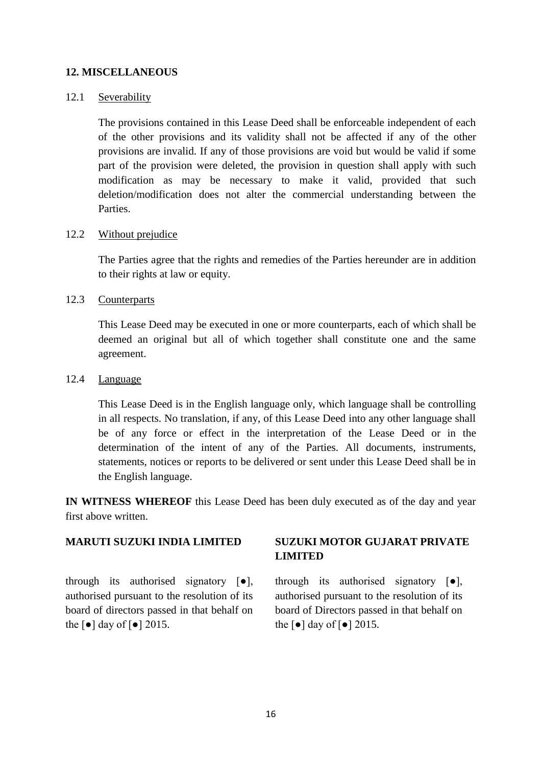## **12. MISCELLANEOUS**

#### 12.1 Severability

The provisions contained in this Lease Deed shall be enforceable independent of each of the other provisions and its validity shall not be affected if any of the other provisions are invalid. If any of those provisions are void but would be valid if some part of the provision were deleted, the provision in question shall apply with such modification as may be necessary to make it valid, provided that such deletion/modification does not alter the commercial understanding between the Parties.

## 12.2 Without prejudice

The Parties agree that the rights and remedies of the Parties hereunder are in addition to their rights at law or equity.

#### 12.3 Counterparts

This Lease Deed may be executed in one or more counterparts, each of which shall be deemed an original but all of which together shall constitute one and the same agreement.

#### 12.4 Language

This Lease Deed is in the English language only, which language shall be controlling in all respects. No translation, if any, of this Lease Deed into any other language shall be of any force or effect in the interpretation of the Lease Deed or in the determination of the intent of any of the Parties. All documents, instruments, statements, notices or reports to be delivered or sent under this Lease Deed shall be in the English language.

**IN WITNESS WHEREOF** this Lease Deed has been duly executed as of the day and year first above written.

## **MARUTI SUZUKI INDIA LIMITED**

through its authorised signatory [●], authorised pursuant to the resolution of its board of directors passed in that behalf on the  $\lceil \bullet \rceil$  day of  $\lceil \bullet \rceil$  2015.

## **SUZUKI MOTOR GUJARAT PRIVATE LIMITED**

through its authorised signatory [●], authorised pursuant to the resolution of its board of Directors passed in that behalf on the  $\lceil \bullet \rceil$  day of  $\lceil \bullet \rceil$  2015.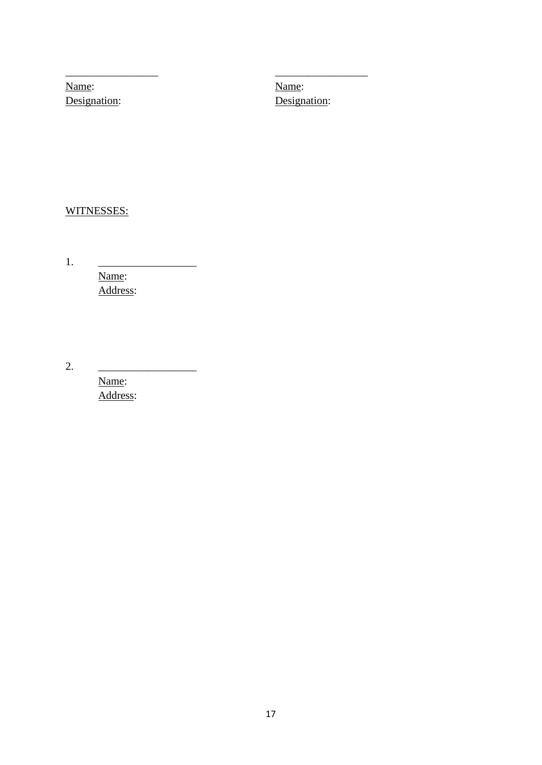Name: Designation:

\_\_\_\_\_\_\_\_\_\_\_\_\_\_\_\_\_

Name: Designation:

\_\_\_\_\_\_\_\_\_\_\_\_\_\_\_\_\_

# WITNESSES:

1. \_\_\_\_\_\_\_\_\_\_\_\_\_\_\_\_\_\_ Name: Address:

2. \_\_\_\_\_\_\_\_\_\_\_\_\_\_\_\_\_\_

Name: Address: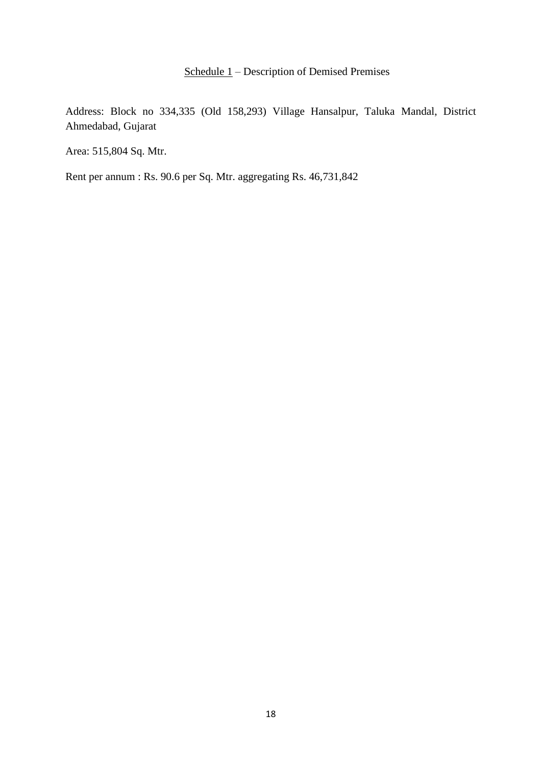# Schedule 1 – Description of Demised Premises

Address: Block no 334,335 (Old 158,293) Village Hansalpur, Taluka Mandal, District Ahmedabad, Gujarat

Area: 515,804 Sq. Mtr.

Rent per annum : Rs. 90.6 per Sq. Mtr. aggregating Rs. 46,731,842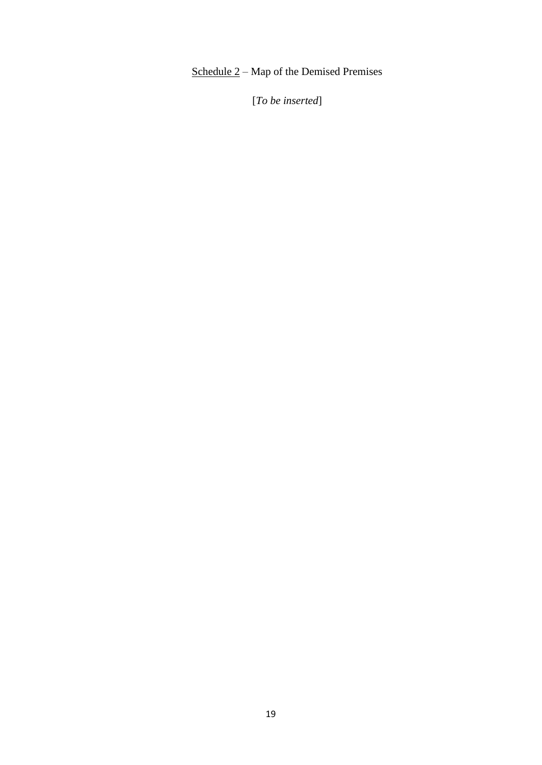# Schedule 2 – Map of the Demised Premises

[*To be inserted*]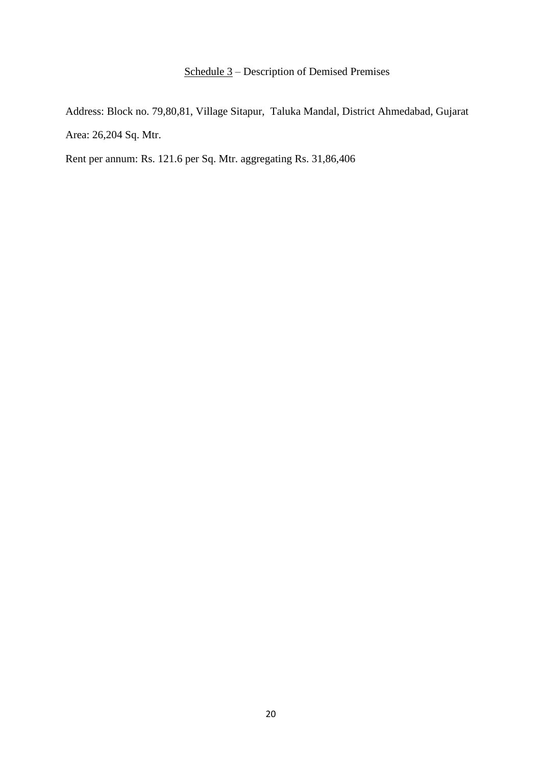# Schedule 3 – Description of Demised Premises

Address: Block no. 79,80,81, Village Sitapur, Taluka Mandal, District Ahmedabad, Gujarat Area: 26,204 Sq. Mtr.

Rent per annum: Rs. 121.6 per Sq. Mtr. aggregating Rs. 31,86,406